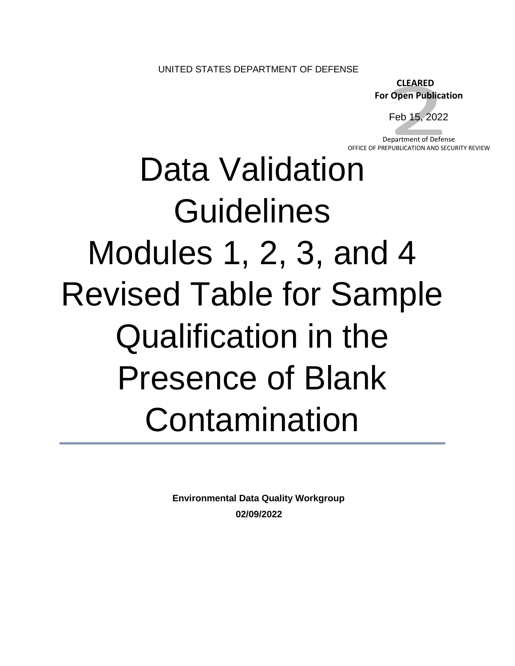UNITED STATES DEPARTMENT OF DEFENSE

 **CLEARED For Open Publication**

Feb 15, 2022

Department of Defense OFFICE OF PREPUBLICATION AND SECURITY REVIEW

## Data Validation **Guidelines** Modules 1, 2, 3, and 4 Revised Table for Sample Qualification in the Presence of Blank Contamination

**Environmental Data Quality Workgroup 02/09/2022**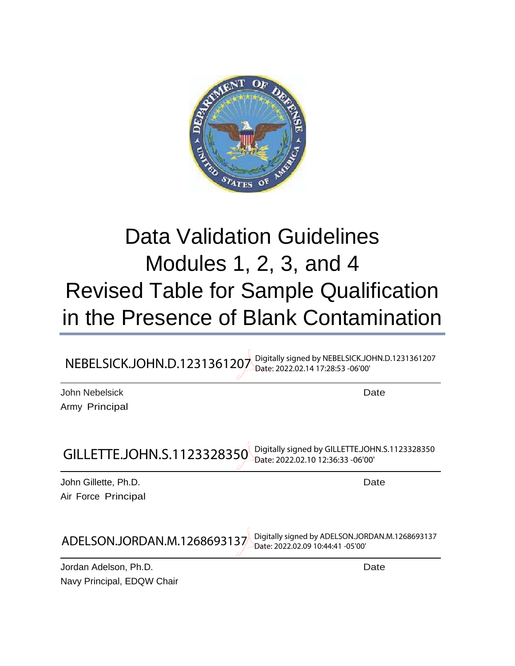

## Modules 1, 2, 3, and 4 Data Validation Guidelines Revised Table for Sample Qualification in the Presence of Blank Contamination

| NEBELSICK.JOHN.D.1231361207      | Digitally signed by NEBELSICK.JOHN.D.1231361207<br>Date: 2022.02.14 17:28:53 -06'00' |
|----------------------------------|--------------------------------------------------------------------------------------|
| John Nebelsick<br>Army Principal | Date                                                                                 |
| GILLETTE.JOHN.S.1123328350       | Digitally signed by GILLETTE.JOHN.S.1123328350<br>Date: 2022.02.10 12:36:33 -06'00'  |

| John Nebelsick | Date |
|----------------|------|
| Army Principal |      |

| GILLETTE.JOHN.S.1123328350                         | Digitally signed by GILLETTE.JOHN.S.1123328350<br>Date: 2022.02.10 12:36:33 -06'00'  |
|----------------------------------------------------|--------------------------------------------------------------------------------------|
| John Gillette, Ph.D.<br><b>Air Force Principal</b> | Date                                                                                 |
| ADELSON.JORDAN.M.1268693137                        | Digitally signed by ADELSON.JORDAN.M.1268693137<br>Date: 2022.02.09 10:44:41 -05'00' |

 Navy Principal, EDQW Chair Jordan Adelson, Ph.D. Date and the state of the state of the state of the Date of the Date of the Date of the S